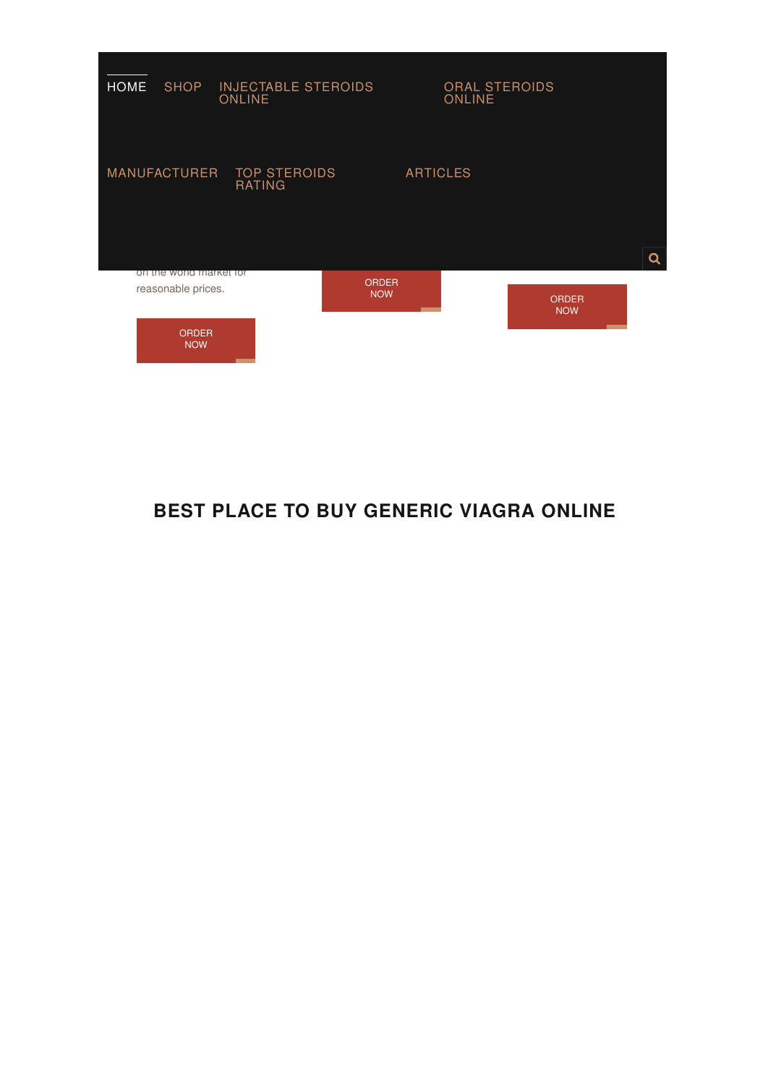

## **BEST PLACE TO BUY GENERIC VIAGRA ONLINE**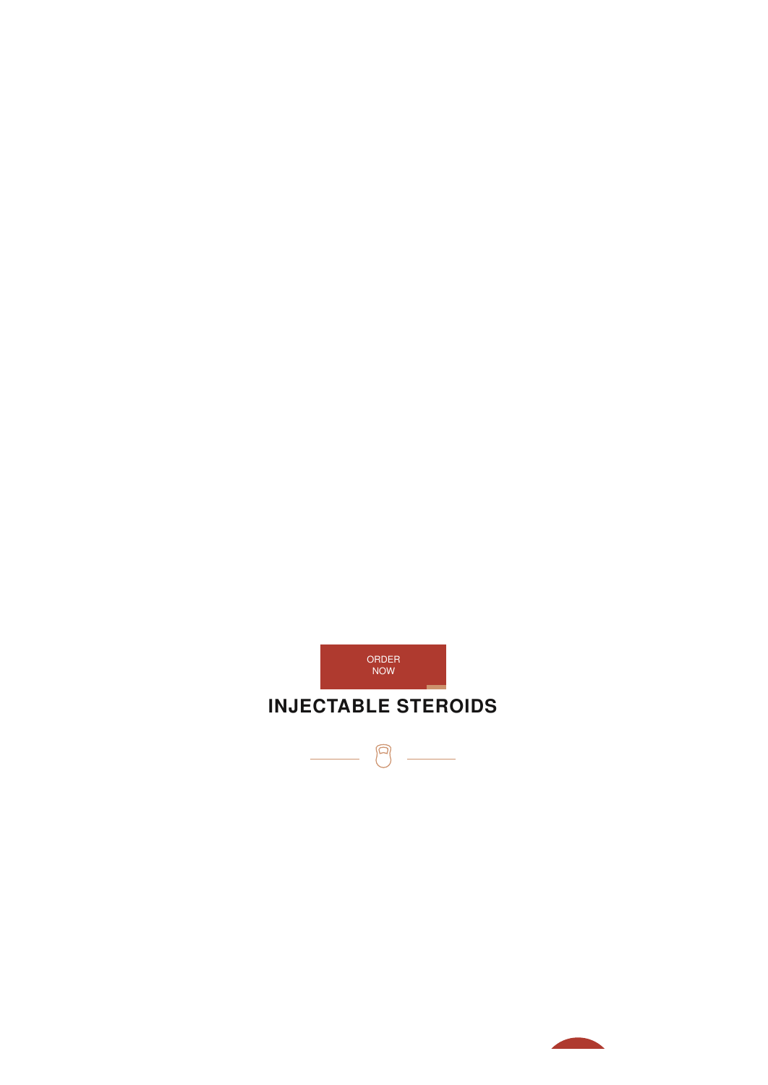

 $\begin{picture}(22,20) \put(0,0){\line(1,0){10}} \put(15,0){\line(1,0){10}} \put(15,0){\line(1,0){10}} \put(15,0){\line(1,0){10}} \put(15,0){\line(1,0){10}} \put(15,0){\line(1,0){10}} \put(15,0){\line(1,0){10}} \put(15,0){\line(1,0){10}} \put(15,0){\line(1,0){10}} \put(15,0){\line(1,0){10}} \put(15,0){\line(1,0){10}} \put(15,0){\line(1$ 

 $\frac{1}{\sqrt{2}}$ 

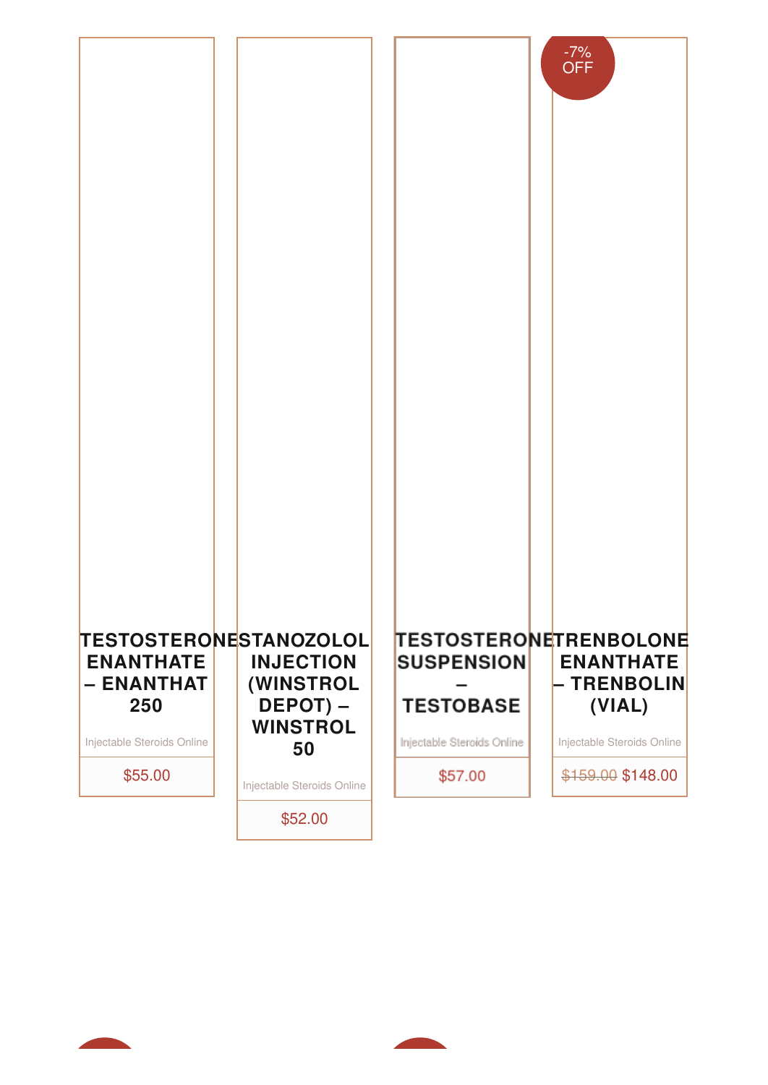



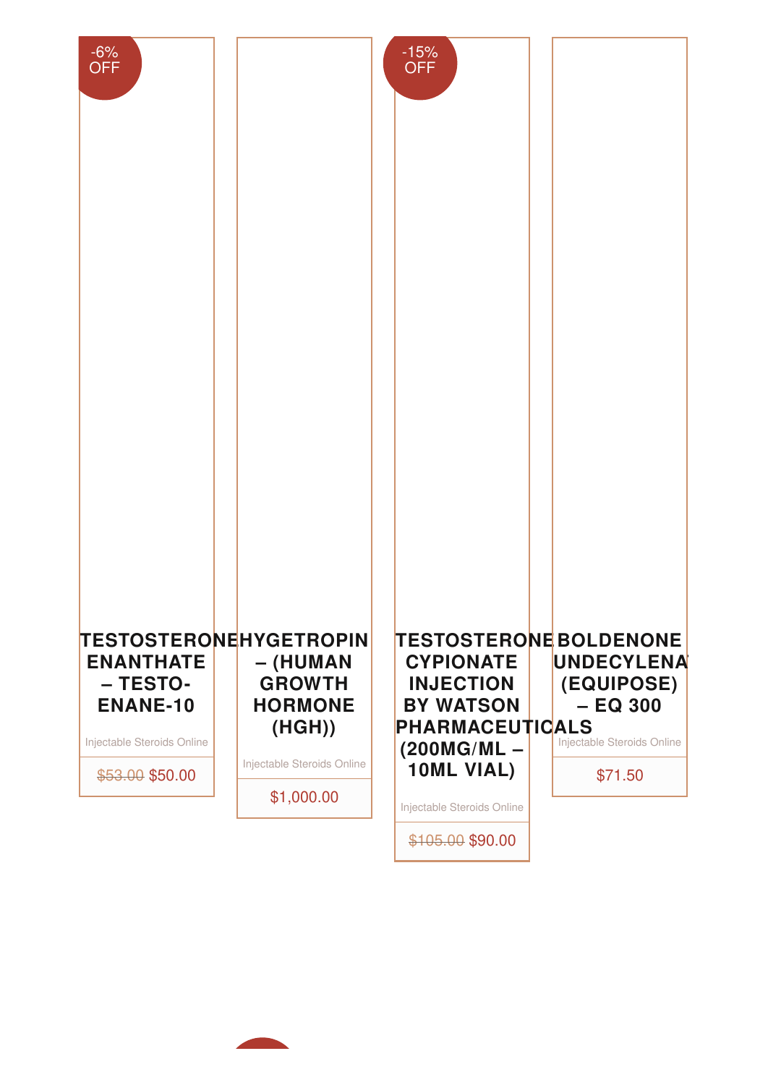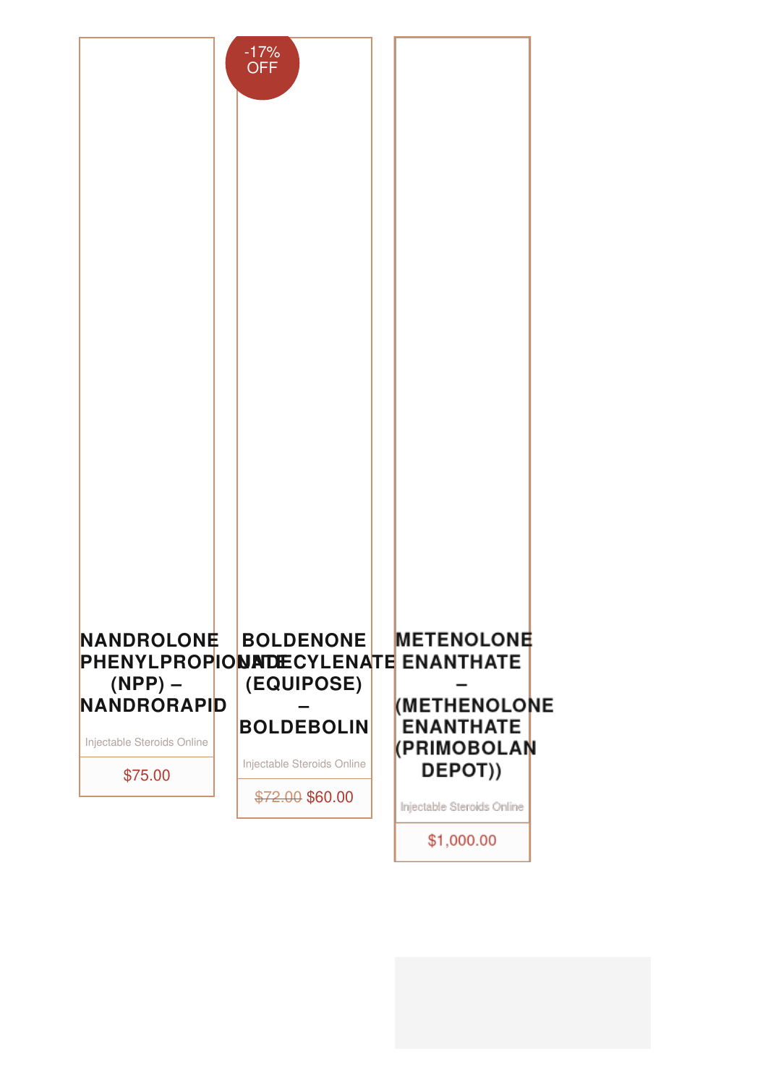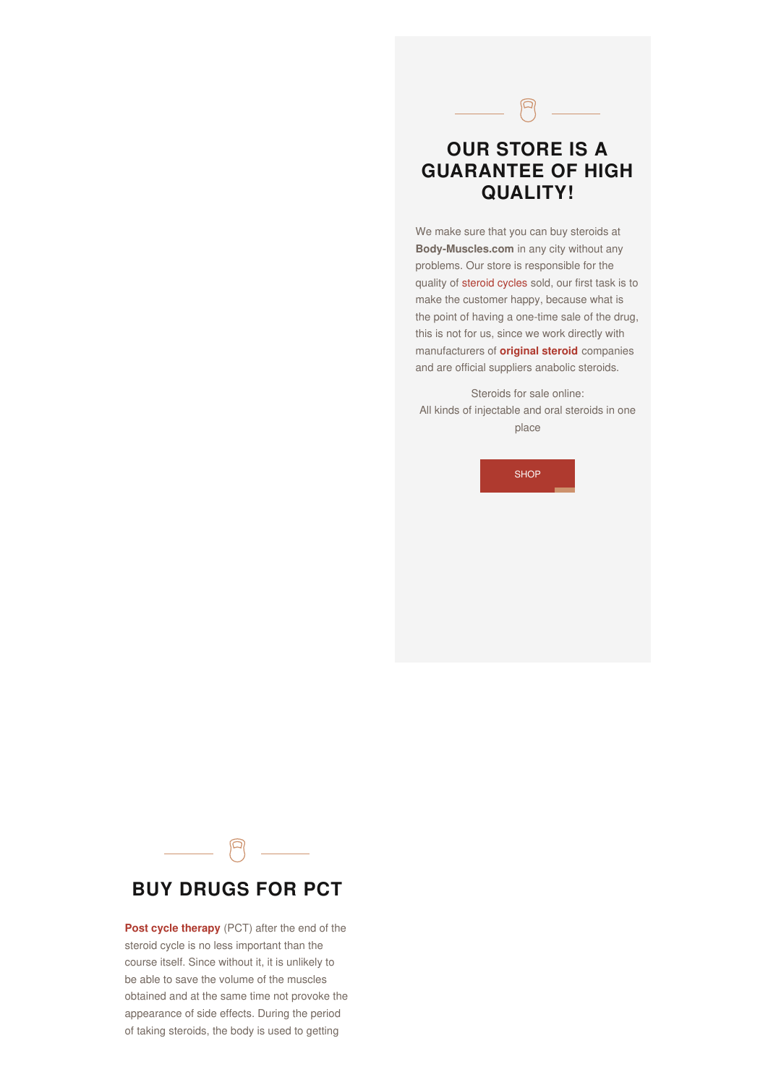## **OUR STORE IS A GUARANTEE OF HIGH QUALITY!**

 $\begin{picture}(20,20) \put(0,0){\dashbox{0.5}(5,0){ }} \put(15,0){\circle{1}} \put(15,0){\circle{1}} \put(15,0){\circle{1}} \put(15,0){\circle{1}} \put(15,0){\circle{1}} \put(15,0){\circle{1}} \put(15,0){\circle{1}} \put(15,0){\circle{1}} \put(15,0){\circle{1}} \put(15,0){\circle{1}} \put(15,0){\circle{1}} \put(15,0){\circle{1}} \put(15,0){\circle{1}} \put(15,0){\circle{1}} \put(15,0$ 

We make sure that you can buy steroids at **Body-Muscles.com** in any city without any problems. Our store is responsible for the quality of [steroid](http://body-muscles.com/steroid-cycles-for-beginners/) cycles sold, our first task is to make the customer happy, because what is the point of having a one-time sale of the drug, this is not for us, since we work directly with manufacturers of **[original](http://steroids-usa.net/) steroid** companies and are official suppliers anabolic steroids.

Steroids for sale online: All kinds of injectable and oral steroids in one place

**[SHOP](http://body-muscles.com/buy_steroids_online/)** 



### **BUY DRUGS FOR PCT**

**Post cycle [therapy](http://body-muscles.com/category/online-pct/)** (PCT) after the end of the steroid cycle is no less important than the course itself. Since without it, it is unlikely to be able to save the volume of the muscles obtained and at the same time not provoke the appearance of side effects. During the period of taking steroids, the body is used to getting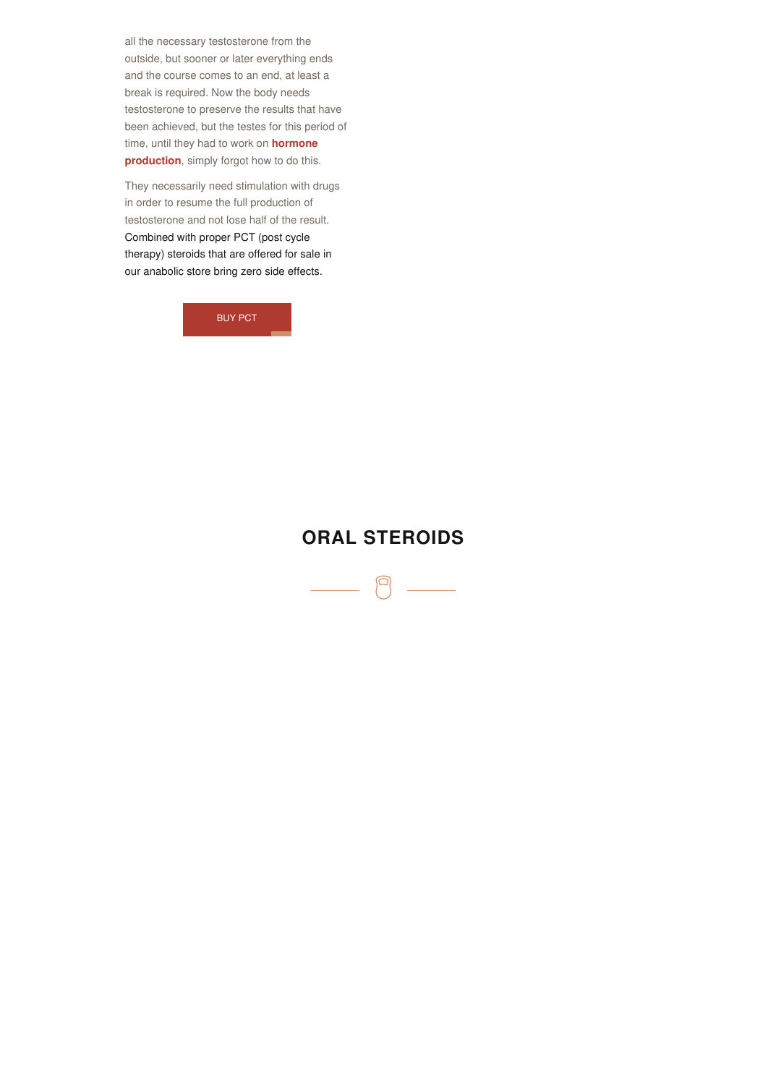all the necessary testosterone from the outside, but sooner or later everything ends and the course comes to an end, at least a break is required. Now the body needs testosterone to preserve the results that have been achieved, but the testes for this period of time, until they had to work on **hormone [production](http://body-muscles.com/product-tag/human-growth-hormone-hgh/)**, simply forgot how to do this.

They necessarily need stimulation with drugs in order to resume the full production of testosterone and not lose half of the result. Combined with proper PCT (post cycle therapy) steroids that are offered for sale in our anabolic store bring zero side effects.

[BUY](http://body-muscles.com/category/online-pct/) PCT

### **ORAL [STEROIDS](http://body-muscles.com/category/oral-steroids-online/)**

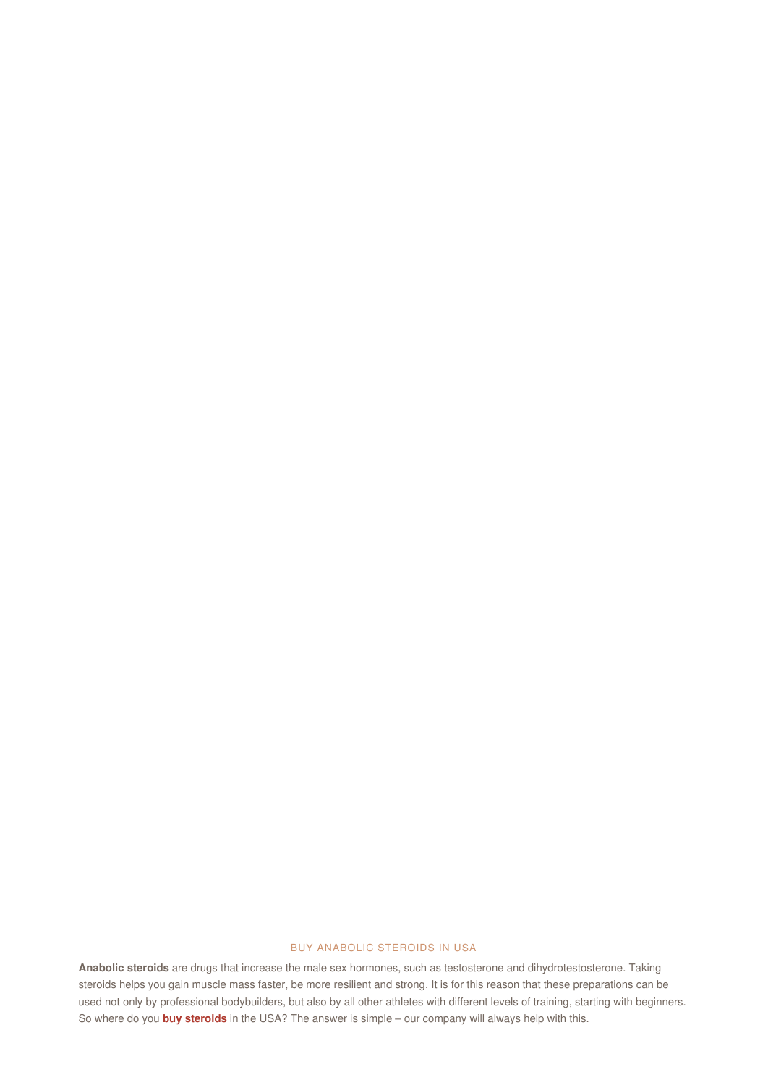#### BUY ANABOLIC STEROIDS IN USA

**Anabolic steroids** are drugs that increase the male sex hormones, such as testosterone and dihydrotestosterone. Taking steroids helps you gain muscle mass faster, be more resilient and strong. It is for this reason that these preparations can be used not only by professional bodybuilders, but also by all other athletes with different levels of training, starting with beginners. So where do you **buy [steroids](http://body-muscles.com/buy_steroids_online/)** in the USA? The answer is simple – our company will always help with this.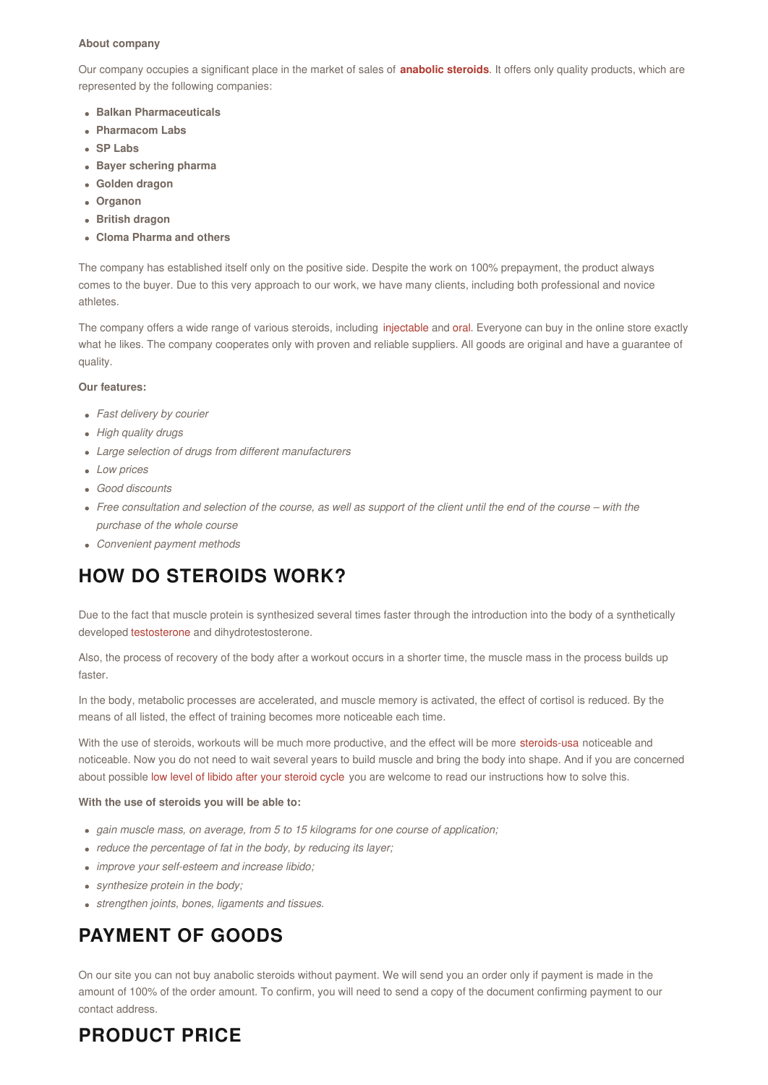#### **About company**

Our company occupies a significant place in the market of sales of **[anabolic](http://body-muscles.com/) steroids**. It offers only quality products, which are represented by the following companies:

- **Balkan Pharmaceuticals**
- **Pharmacom Labs**
- **SP Labs**
- **Bayer schering pharma**
- **Golden dragon**
- **Organon**
- **British dragon**
- **Cloma Pharma and others**

The company has established itself only on the positive side. Despite the work on 100% prepayment, the product always comes to the buyer. Due to this very approach to our work, we have many clients, including both professional and novice athletes.

The company offers a wide range of various steroids, including [injectable](http://body-muscles.com/category/injectable-steroids-online/) and [oral](http://body-muscles.com/category/oral-steroids-online/). Everyone can buy in the online store exactly what he likes. The company cooperates only with proven and reliable suppliers. All goods are original and have a guarantee of quality.

#### **Our features:**

- *Fast delivery by courier*
- *High quality drugs*
- *Large selection of drugs from different manufacturers*
- *Low prices*
- *Good discounts*
- Free consultation and selection of the course, as well as support of the client until the end of the course with the *purchase of the whole course*
- *Convenient payment methods*

## **HOW DO STEROIDS WORK?**

Due to the fact that muscle protein is synthesized several times faster through the introduction into the body of a synthetically developed [testosterone](http://body-muscles.com/product-tag/testosterone-undecanoate/) and dihydrotestosterone.

Also, the process of recovery of the body after a workout occurs in a shorter time, the muscle mass in the process builds up faster.

In the body, metabolic processes are accelerated, and muscle memory is activated, the effect of cortisol is reduced. By the means of all listed, the effect of training becomes more noticeable each time.

With the use of steroids, workouts will be much more productive, and the effect will be more [steroids-usa](http://steroids-usa.net/) noticeable and noticeable. Now you do not need to wait several years to build muscle and bring the body into shape. And if you are concerned about possible low level of libido after your [steroid](http://body-muscles.com/erection-and-steroids/) cycle you are welcome to read our instructions how to solve this.

#### **With the use of steroids you will be able to:**

- *gain muscle mass, on average, from 5 to 15 kilograms for one course of application;*
- *reduce the percentage of fat in the body, by reducing its layer;*
- *improve your self-esteem and increase libido;*
- *synthesize protein in the body;*
- *strengthen joints, bones, ligaments and tissues.*

# **PAYMENT OF GOODS**

On our site you can not buy anabolic steroids without payment. We will send you an order only if payment is made in the amount of 100% of the order amount. To confirm, you will need to send a copy of the document confirming payment to our contact address.

## **PRODUCT PRICE**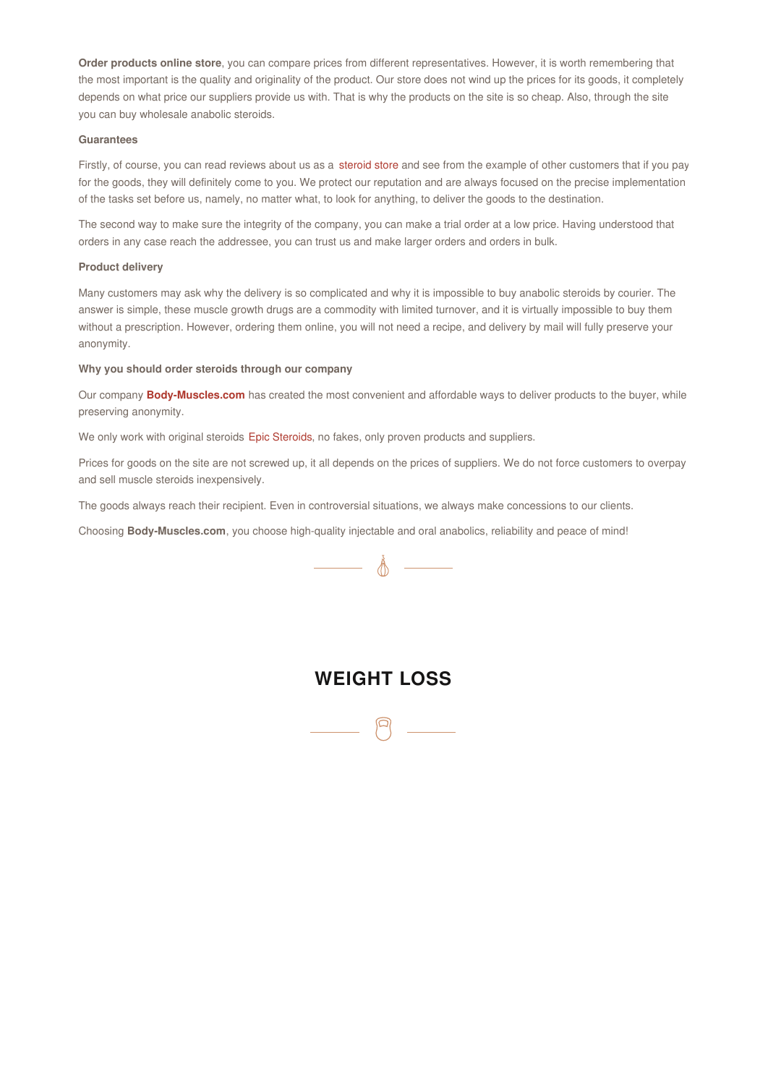**Order products online store**, you can compare prices from different representatives. However, it is worth remembering that the most important is the quality and originality of the product. Our store does not wind up the prices for its goods, it completely depends on what price our suppliers provide us with. That is why the products on the site is so cheap. Also, through the site you can buy wholesale anabolic steroids.

#### **Guarantees**

Firstly, of course, you can read reviews about us as a [steroid](http://body-muscles.com/) store and see from the example of other customers that if you pay for the goods, they will definitely come to you. We protect our reputation and are always focused on the precise implementation of the tasks set before us, namely, no matter what, to look for anything, to deliver the goods to the destination.

The second way to make sure the integrity of the company, you can make a trial order at a low price. Having understood that orders in any case reach the addressee, you can trust us and make larger orders and orders in bulk.

#### **Product delivery**

Many customers may ask why the delivery is so complicated and why it is impossible to buy anabolic steroids by courier. The answer is simple, these muscle growth drugs are a commodity with limited turnover, and it is virtually impossible to buy them without a prescription. However, ordering them online, you will not need a recipe, and delivery by mail will fully preserve your anonymity.

#### **Why you should order steroids through our company**

Our company **[Body-Muscles.com](http://body-muscles.com/)** has created the most convenient and affordable ways to deliver products to the buyer, while preserving anonymity.

We only work with original steroids Epic [Steroids](http://epicsteroids.com/), no fakes, only proven products and suppliers.

Prices for goods on the site are not screwed up, it all depends on the prices of suppliers. We do not force customers to overpay and sell muscle steroids inexpensively.

The goods always reach their recipient. Even in controversial situations, we always make concessions to our clients.

Choosing **Body-Muscles.com**, you choose high-quality injectable and oral anabolics, reliability and peace of mind!



### **WEIGHT LOSS**

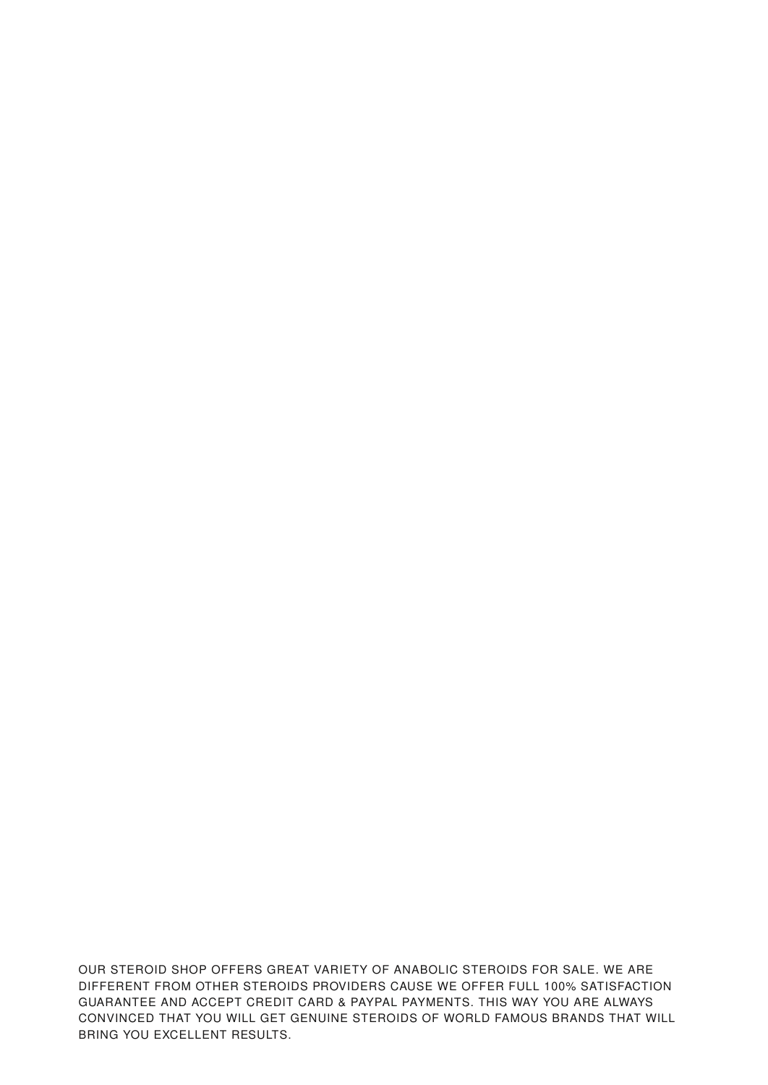OUR STEROID SHOP OFFERS GREAT VARIETY OF ANABOLIC STEROIDS FOR SALE. WE ARE DIFFERENT FROM OTHER STEROIDS PROVIDERS CAUSE WE OFFER FULL 100% SATISFACTION GUARANTEE AND ACCEPT CREDIT CARD & PAYPAL PAYMENTS. THIS WAY YOU ARE ALWAYS CONVINCED THAT YOU WILL GET GENUINE STEROIDS OF WORLD FAMOUS BRANDS THAT WILL BRING YOU EXCELLENT RESULTS.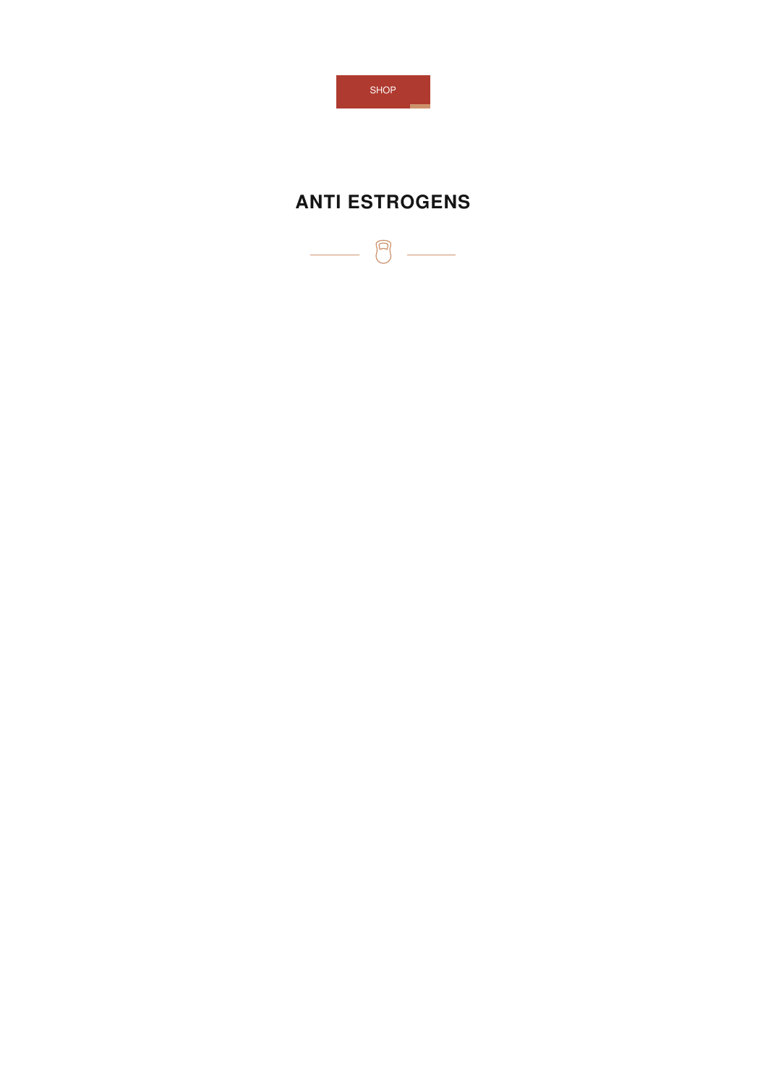

# **ANTI ESTROGENS**

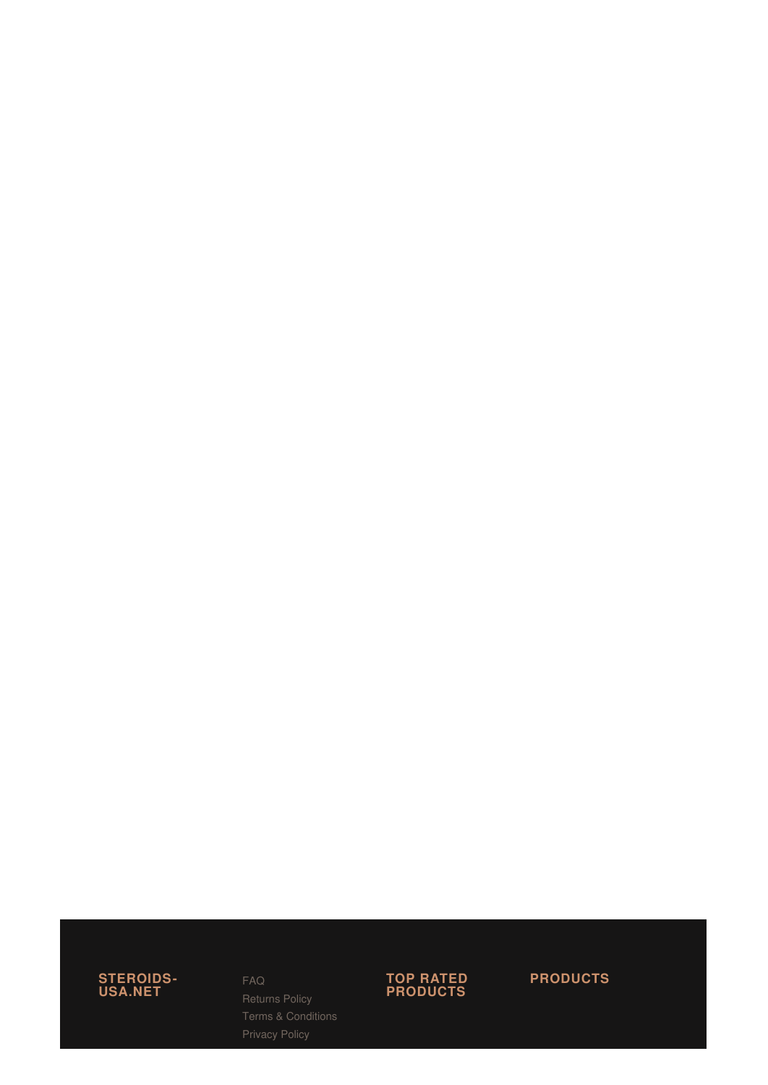

#### F A [Q](http://body-muscles.com/faq/)

Returns P[olic](http://body-muscles.com/returns-policy/)y T e r m s & C o n [ditio](http://body-muscles.com/terms-conditions/) n s Privacy P[olic](http://body-muscles.com/privacy-policy/)y



**P R O D U C T S**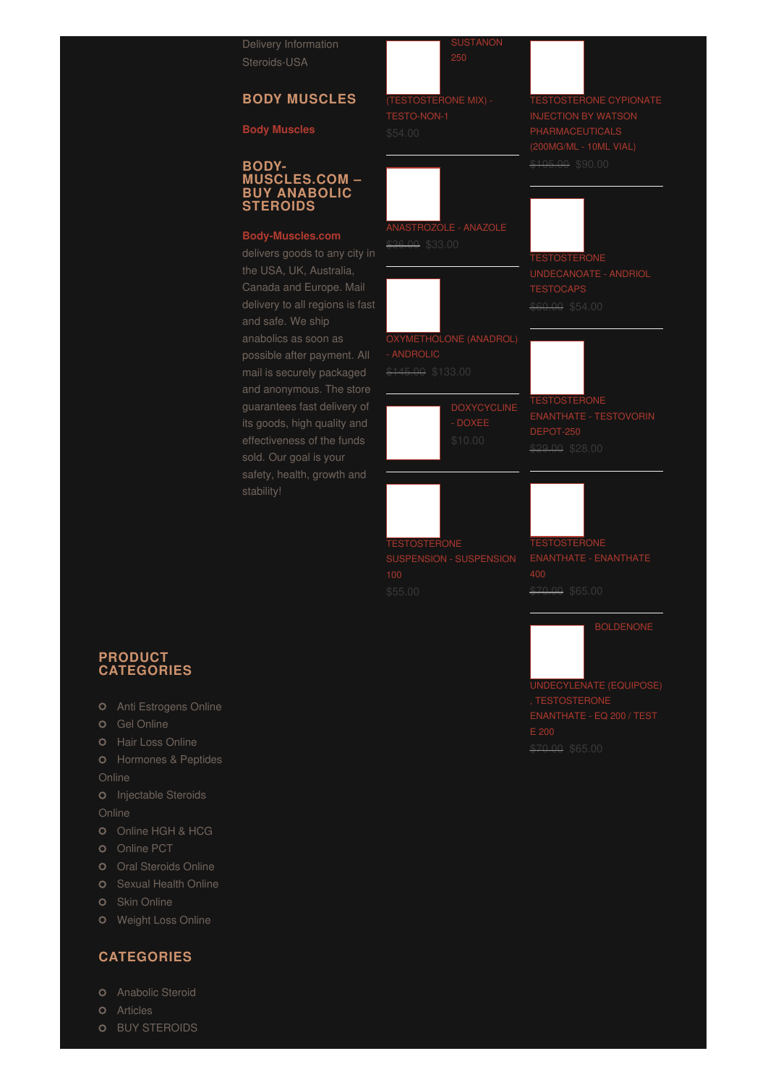[Steroids-USA](http://steroids-usa.net/)

### **BODY MUSCLES**

#### **Body [Muscles](http://body-muscles.com/body-muscles/)**

### **BODY- MUSCLES.COM – BUY ANABOLIC STEROIDS**

### **[Body-Muscles.com](http://body-muscles.com/)**

delivers goods to any city in Canada and Europe. Mail delivery to all regions is fast and safe. We ship possible after payment. All mail is securely packaged guarantees fast delivery of its goods, high quality and sold. Our goal is your safety, health, growth and stability!



[ANASTROZOLE](http://body-muscles.com/product/anastrozole-anazole/) - ANAZOLE

**WHETHOLONE (ANADROL)** 

- DOXEE

\$36.00 \$33.00

**ANDROLIC** 

TESTOSTERONE CYPIONATE INJECTION BY WATSON \$105.00 \$90.00

[TESTOSTERONE](http://body-muscles.com/product/testosterone-undecanoate-andriol-testocaps/) \$60.00 \$54.00

[TESTOSTERONE](http://body-muscles.com/product/testosterone-enanthate-testovorin-depot-250/) 29.00 \$28.00

**RONE** 

[TESTOSTERONE](http://body-muscles.com/product/testosterone-enanthate-enanthate-400/) \$70.00 \$65.00

UNDECYLENATE (EQUIPOSE) \$70.00 \$65.00

**PRODUCT CATEGORIES**

- Anti [Estrogens](http://body-muscles.com/category/anti-estrogens-online/) Online
- **O** Gel [Online](http://body-muscles.com/category/gel-online/)
- **O** Hair Loss [Online](http://body-muscles.com/category/hair-loss-online/)
- **O** [Hormones](http://body-muscles.com/category/hormones-peptides-online/) & Peptides

Online

**O** [Injectable](http://body-muscles.com/category/injectable-steroids-online/) Steroids

**Online** 

- [Online](http://body-muscles.com/category/online-hgh-hcg/) HGH & HCG
- **O** [Online](http://body-muscles.com/category/online-pct/) PCT
- 
- **O** [Sexual](http://body-muscles.com/category/sexual-health-online/) Health Online
- **O** Skin [Online](http://body-muscles.com/category/skin-online/)
- [Weight](http://body-muscles.com/category/weight-loss-online/) Loss Online

### **CATEGORIES**

- **O** [Anabolic](http://body-muscles.com/body-muscles/anabolic-steroid/) Steroid
- **O** [Articles](http://body-muscles.com/body-muscles/articles/)
- **O** BUY [STEROIDS](http://body-muscles.com/body-muscles/buy-steroids/)